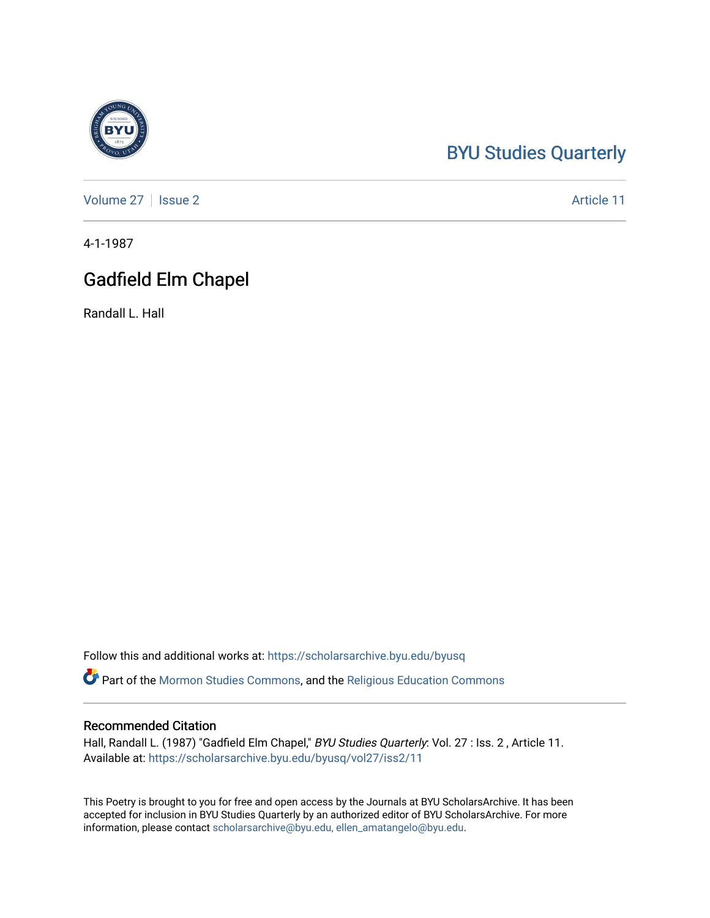## [BYU Studies Quarterly](https://scholarsarchive.byu.edu/byusq)

[Volume 27](https://scholarsarchive.byu.edu/byusq/vol27) | [Issue 2](https://scholarsarchive.byu.edu/byusq/vol27/iss2) Article 11

4-1-1987

## Gadfield Elm Chapel

Randall L. Hall

Follow this and additional works at: [https://scholarsarchive.byu.edu/byusq](https://scholarsarchive.byu.edu/byusq?utm_source=scholarsarchive.byu.edu%2Fbyusq%2Fvol27%2Fiss2%2F11&utm_medium=PDF&utm_campaign=PDFCoverPages) 

Part of the [Mormon Studies Commons](http://network.bepress.com/hgg/discipline/1360?utm_source=scholarsarchive.byu.edu%2Fbyusq%2Fvol27%2Fiss2%2F11&utm_medium=PDF&utm_campaign=PDFCoverPages), and the [Religious Education Commons](http://network.bepress.com/hgg/discipline/1414?utm_source=scholarsarchive.byu.edu%2Fbyusq%2Fvol27%2Fiss2%2F11&utm_medium=PDF&utm_campaign=PDFCoverPages) 

## Recommended Citation

Hall, Randall L. (1987) "Gadfield Elm Chapel," BYU Studies Quarterly: Vol. 27 : Iss. 2 , Article 11. Available at: [https://scholarsarchive.byu.edu/byusq/vol27/iss2/11](https://scholarsarchive.byu.edu/byusq/vol27/iss2/11?utm_source=scholarsarchive.byu.edu%2Fbyusq%2Fvol27%2Fiss2%2F11&utm_medium=PDF&utm_campaign=PDFCoverPages) 

This Poetry is brought to you for free and open access by the Journals at BYU ScholarsArchive. It has been accepted for inclusion in BYU Studies Quarterly by an authorized editor of BYU ScholarsArchive. For more information, please contact [scholarsarchive@byu.edu, ellen\\_amatangelo@byu.edu.](mailto:scholarsarchive@byu.edu,%20ellen_amatangelo@byu.edu)